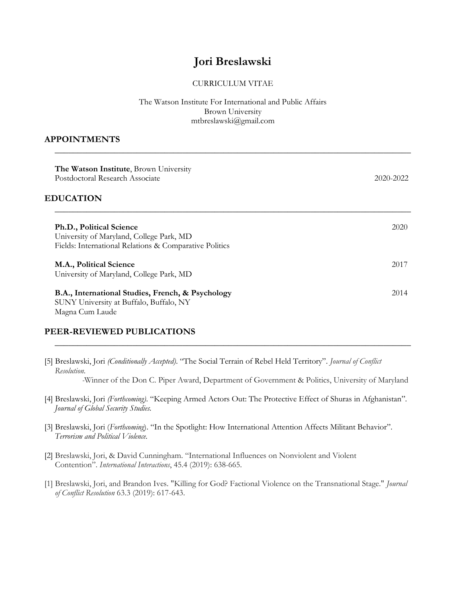# **Jori Breslawski**

### CURRICULUM VITAE

The Watson Institute For International and Public Affairs Brown University mtbreslawski@gmail.com

**\_\_\_\_\_\_\_\_\_\_\_\_\_\_\_\_\_\_\_\_\_\_\_\_\_\_\_\_\_\_\_\_\_\_\_\_\_\_\_\_\_\_\_\_\_\_\_\_\_\_\_\_\_\_\_\_\_\_\_\_\_\_\_\_\_\_\_\_\_\_\_\_\_\_\_\_\_\_**

#### **APPOINTMENTS**

| The Watson Institute, Brown University<br>Postdoctoral Research Associate                                                      | 2020-2022 |
|--------------------------------------------------------------------------------------------------------------------------------|-----------|
| <b>EDUCATION</b>                                                                                                               |           |
| Ph.D., Political Science<br>University of Maryland, College Park, MD<br>Fields: International Relations & Comparative Politics | 2020      |
| M.A., Political Science<br>University of Maryland, College Park, MD                                                            | 2017      |
| B.A., International Studies, French, & Psychology<br>SUNY University at Buffalo, Buffalo, NY<br>Magna Cum Laude                | 2014      |

#### **PEER-REVIEWED PUBLICATIONS**

[5] Breslawski, Jori *(Conditionally Accepted)*. "The Social Terrain of Rebel Held Territory". *Journal of Conflict Resolution.*

*-*Winner of the Don C. Piper Award, Department of Government & Politics, University of Maryland

**\_\_\_\_\_\_\_\_\_\_\_\_\_\_\_\_\_\_\_\_\_\_\_\_\_\_\_\_\_\_\_\_\_\_\_\_\_\_\_\_\_\_\_\_\_\_\_\_\_\_\_\_\_\_\_\_\_\_\_\_\_\_\_\_\_\_\_\_\_\_\_\_\_\_\_\_\_\_**

- [4] Breslawski, Jori *(Forthcoming)*. "Keeping Armed Actors Out: The Protective Effect of Shuras in Afghanistan"*. Journal of Global Security Studies.*
- [3] Breslawski, Jori (*Forthcoming*). "In the Spotlight: How International Attention Affects Militant Behavior". *Terrorism and Political Violence.*
- [2] Breslawski, Jori, & David Cunningham. "International Influences on Nonviolent and Violent Contention". *International Interactions*, 45.4 (2019): 638-665.
- [1] Breslawski, Jori, and Brandon Ives. "Killing for God? Factional Violence on the Transnational Stage." *Journal of Conflict Resolution* 63.3 (2019): 617-643.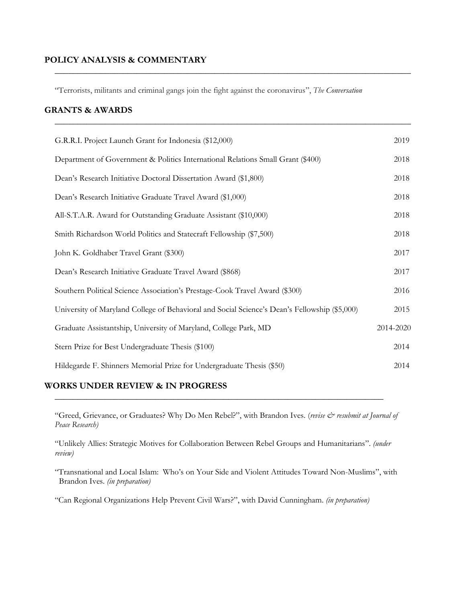# **POLICY ANALYSIS & COMMENTARY**

"Terrorists, militants and criminal gangs join the fight against the coronavirus", *The Conversation* 

**\_\_\_\_\_\_\_\_\_\_\_\_\_\_\_\_\_\_\_\_\_\_\_\_\_\_\_\_\_\_\_\_\_\_\_\_\_\_\_\_\_\_\_\_\_\_\_\_\_\_\_\_\_\_\_\_\_\_\_\_\_\_\_\_\_\_\_\_\_\_\_\_\_\_\_\_\_\_**

**\_\_\_\_\_\_\_\_\_\_\_\_\_\_\_\_\_\_\_\_\_\_\_\_\_\_\_\_\_\_\_\_\_\_\_\_\_\_\_\_\_\_\_\_\_\_\_\_\_\_\_\_\_\_\_\_\_\_\_\_\_\_\_\_\_\_\_\_\_\_\_\_\_\_\_\_\_\_**

## **GRANTS & AWARDS**

| G.R.R.I. Project Launch Grant for Indonesia (\$12,000)                                        | 2019      |
|-----------------------------------------------------------------------------------------------|-----------|
| Department of Government & Politics International Relations Small Grant (\$400)               | 2018      |
| Dean's Research Initiative Doctoral Dissertation Award (\$1,800)                              | 2018      |
| Dean's Research Initiative Graduate Travel Award (\$1,000)                                    | 2018      |
| All-S.T.A.R. Award for Outstanding Graduate Assistant (\$10,000)                              | 2018      |
| Smith Richardson World Politics and Statecraft Fellowship (\$7,500)                           | 2018      |
| John K. Goldhaber Travel Grant (\$300)                                                        | 2017      |
| Dean's Research Initiative Graduate Travel Award (\$868)                                      | 2017      |
| Southern Political Science Association's Prestage-Cook Travel Award (\$300)                   | 2016      |
| University of Maryland College of Behavioral and Social Science's Dean's Fellowship (\$5,000) | 2015      |
| Graduate Assistantship, University of Maryland, College Park, MD                              | 2014-2020 |
| Stern Prize for Best Undergraduate Thesis (\$100)                                             | 2014      |
| Hildegarde F. Shinners Memorial Prize for Undergraduate Thesis (\$50)                         | 2014      |

## **WORKS UNDER REVIEW & IN PROGRESS**

"Greed, Grievance, or Graduates? Why Do Men Rebel?", with Brandon Ives. (revise & resubmit at Journal of *Peace Research)*

**\_\_\_\_\_\_\_\_\_\_\_\_\_\_\_\_\_\_\_\_\_\_\_\_\_\_\_\_\_\_\_\_\_\_\_\_\_\_\_\_\_\_\_\_\_\_\_\_\_\_\_\_\_\_\_\_\_\_\_\_\_\_\_\_\_\_\_\_\_\_\_\_**

"Unlikely Allies: Strategic Motives for Collaboration Between Rebel Groups and Humanitarians". *(under review)*

"Transnational and Local Islam: Who's on Your Side and Violent Attitudes Toward Non-Muslims", with Brandon Ives. *(in preparation)*

"Can Regional Organizations Help Prevent Civil Wars?", with David Cunningham. *(in preparation)*